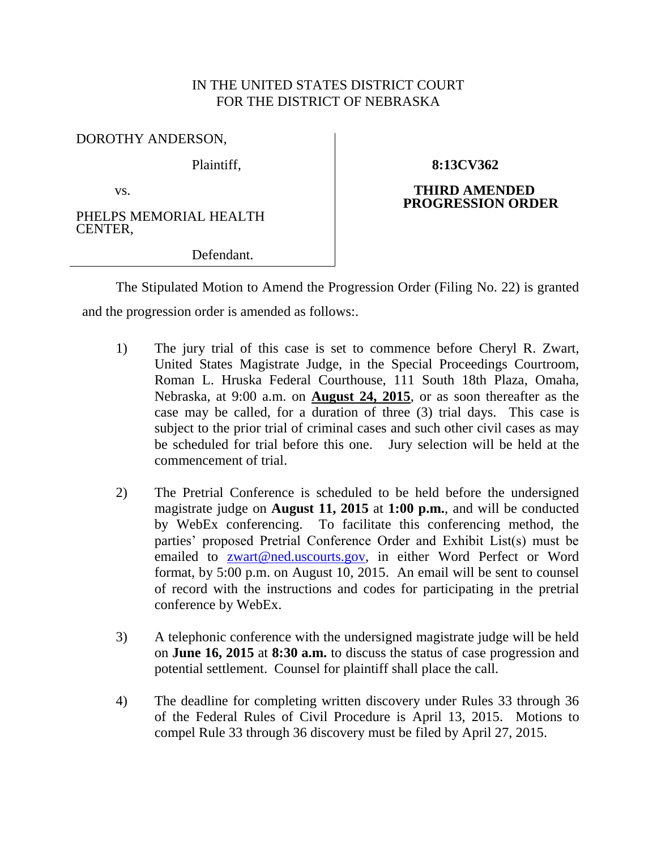## IN THE UNITED STATES DISTRICT COURT FOR THE DISTRICT OF NEBRASKA

DOROTHY ANDERSON,

Plaintiff,

vs.

PHELPS MEMORIAL HEALTH CENTER,

**8:13CV362**

## **THIRD AMENDED PROGRESSION ORDER**

Defendant.

The Stipulated Motion to Amend the Progression Order (Filing No. 22) is granted and the progression order is amended as follows:.

- 1) The jury trial of this case is set to commence before Cheryl R. Zwart, United States Magistrate Judge, in the Special Proceedings Courtroom, Roman L. Hruska Federal Courthouse, 111 South 18th Plaza, Omaha, Nebraska, at 9:00 a.m. on **August 24, 2015**, or as soon thereafter as the case may be called, for a duration of three (3) trial days. This case is subject to the prior trial of criminal cases and such other civil cases as may be scheduled for trial before this one. Jury selection will be held at the commencement of trial.
- 2) The Pretrial Conference is scheduled to be held before the undersigned magistrate judge on **August 11, 2015** at **1:00 p.m.**, and will be conducted by WebEx conferencing. To facilitate this conferencing method, the parties' proposed Pretrial Conference Order and Exhibit List(s) must be emailed to [zwart@ned.uscourts.gov,](mailto:zwart@ned.uscourts.gov) in either Word Perfect or Word format, by 5:00 p.m. on August 10, 2015. An email will be sent to counsel of record with the instructions and codes for participating in the pretrial conference by WebEx.
- 3) A telephonic conference with the undersigned magistrate judge will be held on **June 16, 2015** at **8:30 a.m.** to discuss the status of case progression and potential settlement. Counsel for plaintiff shall place the call.
- 4) The deadline for completing written discovery under Rules 33 through 36 of the Federal Rules of Civil Procedure is April 13, 2015. Motions to compel Rule 33 through 36 discovery must be filed by April 27, 2015.